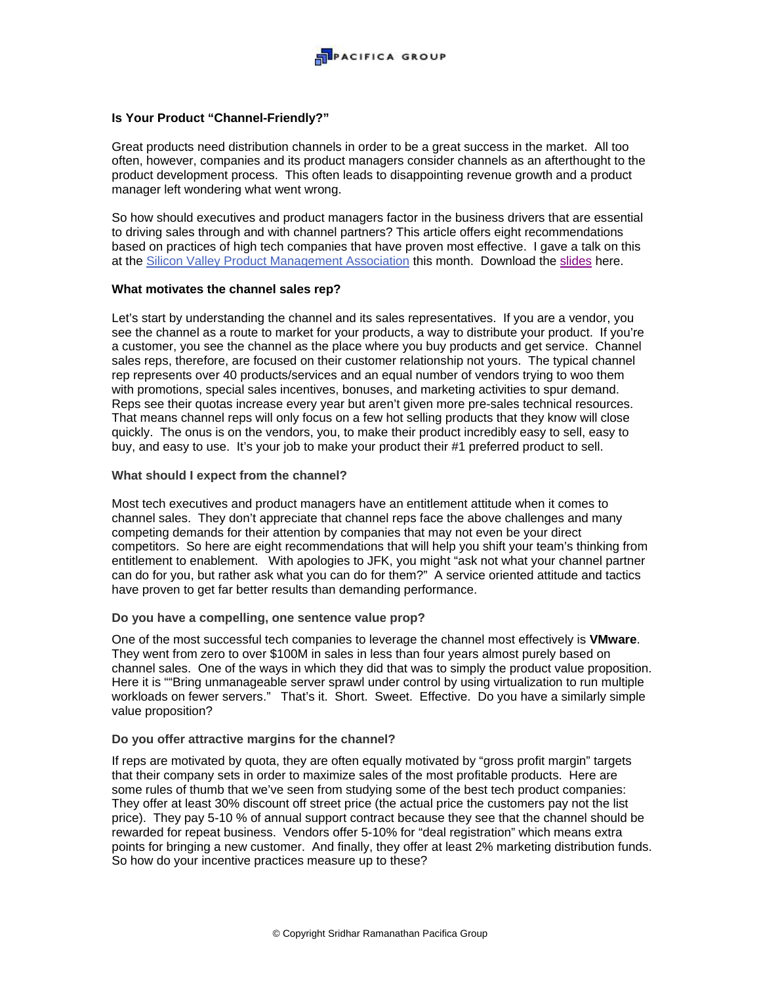

# **Is Your Product "Channel-Friendly?"**

Great products need distribution channels in order to be a great success in the market. All too often, however, companies and its product managers consider channels as an afterthought to the product development process. This often leads to disappointing revenue growth and a product manager left wondering what went wrong.

So how should executives and product managers factor in the business drivers that are essential to driving sales through and with channel partners? This article offers eight recommendations based on practices of high tech companies that have proven most effective. I gave a talk on this at the Silicon Valley Product Management Association this month. Download the slides here.

## **What motivates the channel sales rep?**

Let's start by understanding the channel and its sales representatives. If you are a vendor, you see the channel as a route to market for your products, a way to distribute your product. If you're a customer, you see the channel as the place where you buy products and get service. Channel sales reps, therefore, are focused on their customer relationship not yours. The typical channel rep represents over 40 products/services and an equal number of vendors trying to woo them with promotions, special sales incentives, bonuses, and marketing activities to spur demand. Reps see their quotas increase every year but aren't given more pre-sales technical resources. That means channel reps will only focus on a few hot selling products that they know will close quickly. The onus is on the vendors, you, to make their product incredibly easy to sell, easy to buy, and easy to use. It's your job to make your product their #1 preferred product to sell.

## **What should I expect from the channel?**

Most tech executives and product managers have an entitlement attitude when it comes to channel sales. They don't appreciate that channel reps face the above challenges and many competing demands for their attention by companies that may not even be your direct competitors. So here are eight recommendations that will help you shift your team's thinking from entitlement to enablement. With apologies to JFK, you might "ask not what your channel partner can do for you, but rather ask what you can do for them?" A service oriented attitude and tactics have proven to get far better results than demanding performance.

## **Do you have a compelling, one sentence value prop?**

One of the most successful tech companies to leverage the channel most effectively is **VMware**. They went from zero to over \$100M in sales in less than four years almost purely based on channel sales. One of the ways in which they did that was to simply the product value proposition. Here it is ""Bring unmanageable server sprawl under control by using virtualization to run multiple workloads on fewer servers." That's it. Short. Sweet. Effective. Do you have a similarly simple value proposition?

#### **Do you offer attractive margins for the channel?**

If reps are motivated by quota, they are often equally motivated by "gross profit margin" targets that their company sets in order to maximize sales of the most profitable products. Here are some rules of thumb that we've seen from studying some of the best tech product companies: They offer at least 30% discount off street price (the actual price the customers pay not the list price). They pay 5-10 % of annual support contract because they see that the channel should be rewarded for repeat business. Vendors offer 5-10% for "deal registration" which means extra points for bringing a new customer. And finally, they offer at least 2% marketing distribution funds. So how do your incentive practices measure up to these?